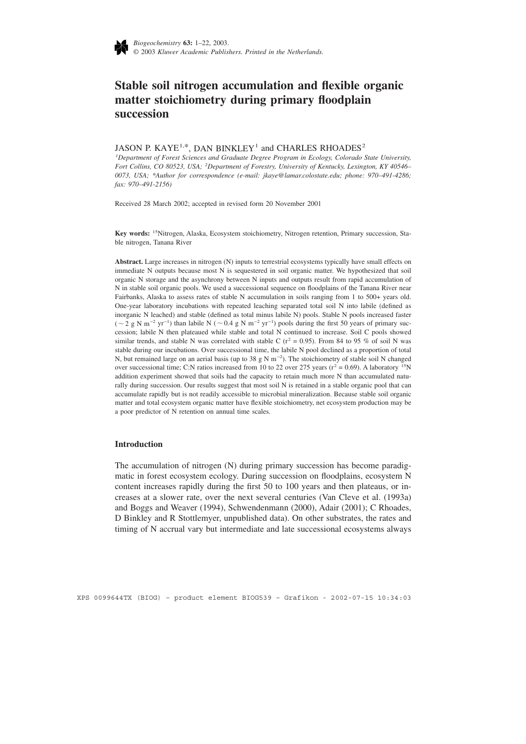

# **Stable soil nitrogen accumulation and flexible organic matter stoichiometry during primary floodplain succession**

## JASON P. KAYE<sup>1,\*</sup>, DAN BINKLEY<sup>1</sup> and CHARLES RHOADES<sup>2</sup>

*1 Department of Forest Sciences and Graduate Degree Program in Ecology, Colorado State University, Fort Collins, CO 80523, USA; <sup>2</sup> Department of Forestry, University of Kentucky, Lexington, KY 40546– 0073, USA; \*Author for correspondence (e-mail: jkaye@lamar.colostate.edu; phone: 970–491-4286; fax: 970–491-2156)*

Received 28 March 2002; accepted in revised form 20 November 2001

**Key words:** 15Nitrogen, Alaska, Ecosystem stoichiometry, Nitrogen retention, Primary succession, Stable nitrogen, Tanana River

**Abstract.** Large increases in nitrogen (N) inputs to terrestrial ecosystems typically have small effects on immediate N outputs because most N is sequestered in soil organic matter. We hypothesized that soil organic N storage and the asynchrony between N inputs and outputs result from rapid accumulation of N in stable soil organic pools. We used a successional sequence on floodplains of the Tanana River near Fairbanks, Alaska to assess rates of stable N accumulation in soils ranging from 1 to 500+ years old. One-year laboratory incubations with repeated leaching separated total soil N into labile (defined as inorganic N leached) and stable (defined as total minus labile N) pools. Stable N pools increased faster (  $\sim$  2 g N m<sup>-2</sup> yr<sup>-1</sup>) than labile N (  $\sim$  0.4 g N m<sup>-2</sup> yr<sup>-1</sup>) pools during the first 50 years of primary succession; labile N then plateaued while stable and total N continued to increase. Soil C pools showed similar trends, and stable N was correlated with stable C ( $r^2$  = 0.95). From 84 to 95 % of soil N was stable during our incubations. Over successional time, the labile N pool declined as a proportion of total N, but remained large on an aerial basis (up to 38 g N m<sup>−2</sup>). The stoichiometry of stable soil N changed over successional time; C:N ratios increased from 10 to 22 over 275 years ( $r^2 = 0.69$ ). A laboratory <sup>15</sup>N addition experiment showed that soils had the capacity to retain much more N than accumulated naturally during succession. Our results suggest that most soil N is retained in a stable organic pool that can accumulate rapidly but is not readily accessible to microbial mineralization. Because stable soil organic matter and total ecosystem organic matter have flexible stoichiometry, net ecosystem production may be a poor predictor of N retention on annual time scales.

## **Introduction**

The accumulation of nitrogen (N) during primary succession has become paradigmatic in forest ecosystem ecology. During succession on floodplains, ecosystem N content increases rapidly during the first 50 to 100 years and then plateaus, or increases at a slower rate, over the next several centuries (Van Cleve et al. (1993a) and Boggs and Weaver (1994), Schwendenmann (2000), Adair (2001); C Rhoades, D Binkley and R Stottlemyer, unpublished data). On other substrates, the rates and timing of N accrual vary but intermediate and late successional ecosystems always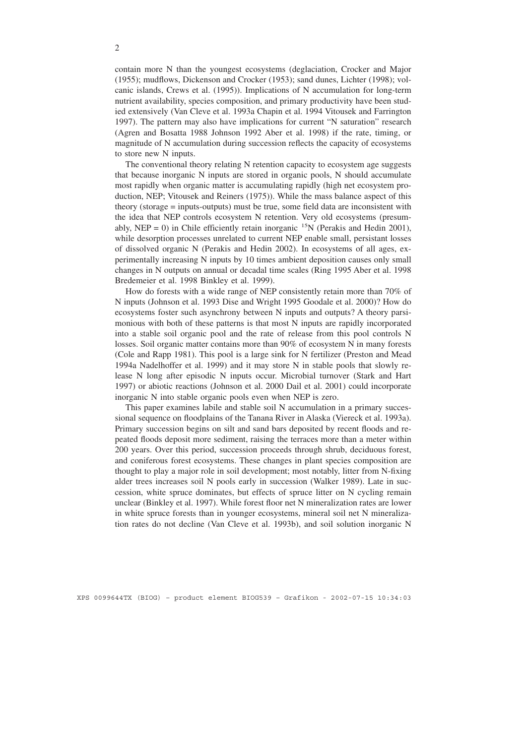contain more N than the youngest ecosystems (deglaciation, Crocker and Major (1955); mudflows, Dickenson and Crocker (1953); sand dunes, Lichter (1998); volcanic islands, Crews et al. (1995)). Implications of N accumulation for long-term nutrient availability, species composition, and primary productivity have been studied extensively (Van Cleve et al. 1993a Chapin et al. 1994 Vitousek and Farrington 1997). The pattern may also have implications for current "N saturation" research (Agren and Bosatta 1988 Johnson 1992 Aber et al. 1998) if the rate, timing, or magnitude of N accumulation during succession reflects the capacity of ecosystems to store new N inputs.

The conventional theory relating N retention capacity to ecosystem age suggests that because inorganic N inputs are stored in organic pools, N should accumulate most rapidly when organic matter is accumulating rapidly (high net ecosystem production, NEP; Vitousek and Reiners (1975)). While the mass balance aspect of this theory (storage = inputs-outputs) must be true, some field data are inconsistent with the idea that NEP controls ecosystem N retention. Very old ecosystems (presumably, NEP = 0) in Chile efficiently retain inorganic <sup>15</sup>N (Perakis and Hedin 2001), while desorption processes unrelated to current NEP enable small, persistant losses of dissolved organic N (Perakis and Hedin 2002). In ecosystems of all ages, experimentally increasing N inputs by 10 times ambient deposition causes only small changes in N outputs on annual or decadal time scales (Ring 1995 Aber et al. 1998 Bredemeier et al. 1998 Binkley et al. 1999).

How do forests with a wide range of NEP consistently retain more than 70% of N inputs (Johnson et al. 1993 Dise and Wright 1995 Goodale et al. 2000)? How do ecosystems foster such asynchrony between N inputs and outputs? A theory parsimonious with both of these patterns is that most N inputs are rapidly incorporated into a stable soil organic pool and the rate of release from this pool controls N losses. Soil organic matter contains more than 90% of ecosystem N in many forests (Cole and Rapp 1981). This pool is a large sink for N fertilizer (Preston and Mead 1994a Nadelhoffer et al. 1999) and it may store N in stable pools that slowly release N long after episodic N inputs occur. Microbial turnover (Stark and Hart 1997) or abiotic reactions (Johnson et al. 2000 Dail et al. 2001) could incorporate inorganic N into stable organic pools even when NEP is zero.

This paper examines labile and stable soil N accumulation in a primary successional sequence on floodplains of the Tanana River in Alaska (Viereck et al. 1993a). Primary succession begins on silt and sand bars deposited by recent floods and repeated floods deposit more sediment, raising the terraces more than a meter within 200 years. Over this period, succession proceeds through shrub, deciduous forest, and coniferous forest ecosystems. These changes in plant species composition are thought to play a major role in soil development; most notably, litter from N-fixing alder trees increases soil N pools early in succession (Walker 1989). Late in succession, white spruce dominates, but effects of spruce litter on N cycling remain unclear (Binkley et al. 1997). While forest floor net N mineralization rates are lower in white spruce forests than in younger ecosystems, mineral soil net N mineralization rates do not decline (Van Cleve et al. 1993b), and soil solution inorganic N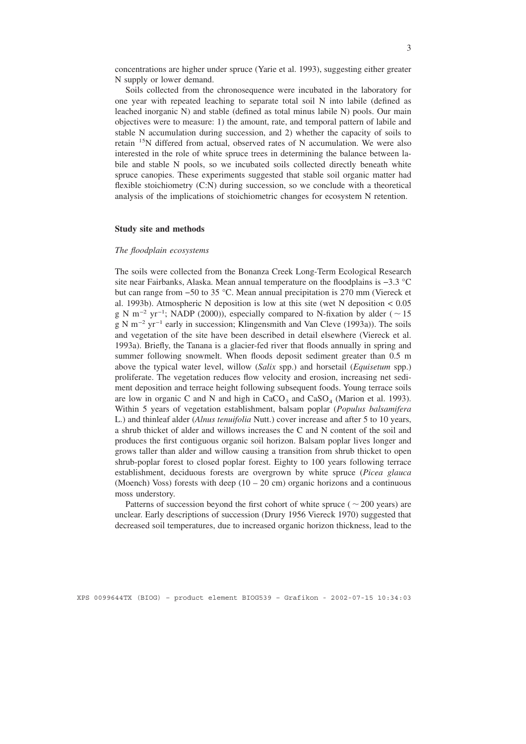concentrations are higher under spruce (Yarie et al. 1993), suggesting either greater N supply or lower demand.

Soils collected from the chronosequence were incubated in the laboratory for one year with repeated leaching to separate total soil N into labile (defined as leached inorganic N) and stable (defined as total minus labile N) pools. Our main objectives were to measure: 1) the amount, rate, and temporal pattern of labile and stable N accumulation during succession, and 2) whether the capacity of soils to retain 15N differed from actual, observed rates of N accumulation. We were also interested in the role of white spruce trees in determining the balance between labile and stable N pools, so we incubated soils collected directly beneath white spruce canopies. These experiments suggested that stable soil organic matter had flexible stoichiometry (C:N) during succession, so we conclude with a theoretical analysis of the implications of stoichiometric changes for ecosystem N retention.

## **Study site and methods**

#### *The floodplain ecosystems*

The soils were collected from the Bonanza Creek Long-Term Ecological Research site near Fairbanks, Alaska. Mean annual temperature on the floodplains is −3.3 °C but can range from −50 to 35 °C. Mean annual precipitation is 270 mm (Viereck et al. 1993b). Atmospheric N deposition is low at this site (wet N deposition < 0.05 g N m<sup>-2</sup> yr<sup>-1</sup>; NADP (2000)), especially compared to N-fixation by alder ( $\sim$  15 gNm−2 yr−1 early in succession; Klingensmith and Van Cleve (1993a)). The soils and vegetation of the site have been described in detail elsewhere (Viereck et al. 1993a). Briefly, the Tanana is a glacier-fed river that floods annually in spring and summer following snowmelt. When floods deposit sediment greater than 0.5 m above the typical water level, willow (*Salix* spp.) and horsetail (*Equisetum* spp.) proliferate. The vegetation reduces flow velocity and erosion, increasing net sediment deposition and terrace height following subsequent foods. Young terrace soils are low in organic C and N and high in  $CaCO<sub>3</sub>$  and  $CaSO<sub>4</sub>$  (Marion et al. 1993). Within 5 years of vegetation establishment, balsam poplar (*Populus balsamifera* L.) and thinleaf alder (*Alnus tenuifolia* Nutt.) cover increase and after 5 to 10 years, a shrub thicket of alder and willows increases the C and N content of the soil and produces the first contiguous organic soil horizon. Balsam poplar lives longer and grows taller than alder and willow causing a transition from shrub thicket to open shrub-poplar forest to closed poplar forest. Eighty to 100 years following terrace establishment, deciduous forests are overgrown by white spruce (*Picea glauca* (Moench) Voss) forests with deep  $(10 - 20 \text{ cm})$  organic horizons and a continuous moss understory.

Patterns of succession beyond the first cohort of white spruce ( $\sim$  200 years) are unclear. Early descriptions of succession (Drury 1956 Viereck 1970) suggested that decreased soil temperatures, due to increased organic horizon thickness, lead to the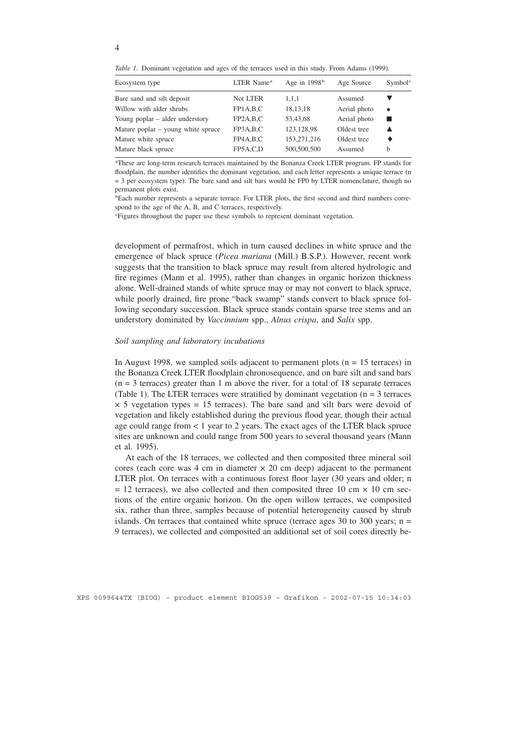*Table 1.* Dominant vegetation and ages of the terraces used in this study. From Adams (1999).

| Ecosystem type                     | LTER Name <sup>a</sup> | Age in $1998b$ | Age Source   | Symbol <sup>c</sup> |
|------------------------------------|------------------------|----------------|--------------|---------------------|
| Bare sand and silt deposit         | Not LTER               | 1,1,1          | Assumed      |                     |
| Willow with alder shrubs           | FPIA,B,C               | 18, 13, 18     | Aerial photo | $\bullet$           |
| Young poplar – alder understory    | FP2A,B,C               | 53.43.68       | Aerial photo |                     |
| Mature poplar – young white spruce | FP3A,B,C               | 123,128,98     | Oldest tree  |                     |
| Mature white spruce                | FP4A,B,C               | 153,271,216    | Oldest tree  |                     |
| Mature black spruce                | FP5A,C,D               | 500,500,500    | Assumed      | b                   |
|                                    |                        |                |              |                     |

a These are long-term research terraces maintained by the Bonanza Creek LTER program. FP stands for floodplain, the number identifies the dominant vegetation, and each letter represents a unique terrace (n = 3 per ecosystem type). The bare sand and silt bars would be FP0 by LTER nomenclature, though no permanent plots exist.

<sup>b</sup>Each number represents a separate terrace. For LTER plots, the first second and third numbers correspond to the age of the A, B, and C terraces, respectively.

c Figures throughout the paper use these symbols to represent dominant vegetation.

development of permafrost, which in turn caused declines in white spruce and the emergence of black spruce (*Picea mariana* (Mill.) B.S.P.). However, recent work suggests that the transition to black spruce may result from altered hydrologic and fire regimes (Mann et al. 1995), rather than changes in organic horizon thickness alone. Well-drained stands of white spruce may or may not convert to black spruce, while poorly drained, fire prone "back swamp" stands convert to black spruce following secondary succession. Black spruce stands contain sparse tree stems and an understory dominated by *Vaccinnium* spp., *Alnus crispa*, and *Salix* spp.

#### *Soil sampling and laboratory incubations*

In August 1998, we sampled soils adjacent to permanent plots ( $n = 15$  terraces) in the Bonanza Creek LTER floodplain chronosequence, and on bare silt and sand bars  $(n = 3$  terraces) greater than 1 m above the river, for a total of 18 separate terraces (Table 1). The LTER terraces were stratified by dominant vegetation ( $n = 3$  terraces  $\times$  5 vegetation types = 15 terraces). The bare sand and silt bars were devoid of vegetation and likely established during the previous flood year, though their actual age could range from < 1 year to 2 years. The exact ages of the LTER black spruce sites are unknown and could range from 500 years to several thousand years (Mann et al. 1995).

At each of the 18 terraces, we collected and then composited three mineral soil cores (each core was 4 cm in diameter  $\times$  20 cm deep) adjacent to the permanent LTER plot. On terraces with a continuous forest floor layer (30 years and older; n  $= 12$  terraces), we also collected and then composited three 10 cm  $\times$  10 cm sections of the entire organic horizon. On the open willow terraces, we composited six, rather than three, samples because of potential heterogeneity caused by shrub islands. On terraces that contained white spruce (terrace ages 30 to 300 years;  $n =$ 9 terraces), we collected and composited an additional set of soil cores directly be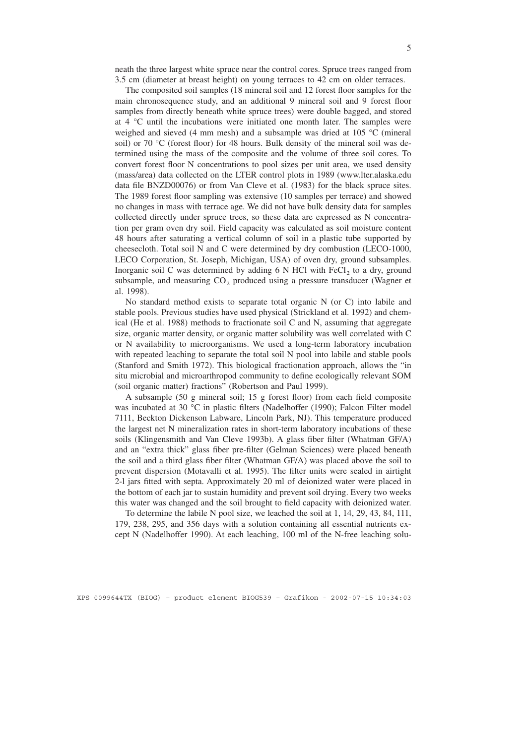neath the three largest white spruce near the control cores. Spruce trees ranged from 3.5 cm (diameter at breast height) on young terraces to 42 cm on older terraces.

The composited soil samples (18 mineral soil and 12 forest floor samples for the main chronosequence study, and an additional 9 mineral soil and 9 forest floor samples from directly beneath white spruce trees) were double bagged, and stored at 4 °C until the incubations were initiated one month later. The samples were weighed and sieved (4 mm mesh) and a subsample was dried at 105 °C (mineral soil) or 70 °C (forest floor) for 48 hours. Bulk density of the mineral soil was determined using the mass of the composite and the volume of three soil cores. To convert forest floor N concentrations to pool sizes per unit area, we used density (mass/area) data collected on the LTER control plots in 1989 (www.lter.alaska.edu data file BNZD00076) or from Van Cleve et al. (1983) for the black spruce sites. The 1989 forest floor sampling was extensive (10 samples per terrace) and showed no changes in mass with terrace age. We did not have bulk density data for samples collected directly under spruce trees, so these data are expressed as N concentration per gram oven dry soil. Field capacity was calculated as soil moisture content 48 hours after saturating a vertical column of soil in a plastic tube supported by cheesecloth. Total soil N and C were determined by dry combustion (LECO-1000, LECO Corporation, St. Joseph, Michigan, USA) of oven dry, ground subsamples. Inorganic soil C was determined by adding  $6 \text{ N }$  HCl with FeCl<sub>2</sub> to a dry, ground subsample, and measuring  $CO<sub>2</sub>$  produced using a pressure transducer (Wagner et al. 1998).

No standard method exists to separate total organic N (or C) into labile and stable pools. Previous studies have used physical (Strickland et al. 1992) and chemical (He et al. 1988) methods to fractionate soil C and N, assuming that aggregate size, organic matter density, or organic matter solubility was well correlated with C or N availability to microorganisms. We used a long-term laboratory incubation with repeated leaching to separate the total soil N pool into labile and stable pools (Stanford and Smith 1972). This biological fractionation approach, allows the "in situ microbial and microarthropod community to define ecologically relevant SOM (soil organic matter) fractions" (Robertson and Paul 1999).

A subsample (50 g mineral soil; 15 g forest floor) from each field composite was incubated at 30 °C in plastic filters (Nadelhoffer (1990); Falcon Filter model 7111, Beckton Dickenson Labware, Lincoln Park, NJ). This temperature produced the largest net N mineralization rates in short-term laboratory incubations of these soils (Klingensmith and Van Cleve 1993b). A glass fiber filter (Whatman GF/A) and an "extra thick" glass fiber pre-filter (Gelman Sciences) were placed beneath the soil and a third glass fiber filter (Whatman GF/A) was placed above the soil to prevent dispersion (Motavalli et al. 1995). The filter units were sealed in airtight 2-l jars fitted with septa. Approximately 20 ml of deionized water were placed in the bottom of each jar to sustain humidity and prevent soil drying. Every two weeks this water was changed and the soil brought to field capacity with deionized water.

To determine the labile N pool size, we leached the soil at 1, 14, 29, 43, 84, 111, 179, 238, 295, and 356 days with a solution containing all essential nutrients except N (Nadelhoffer 1990). At each leaching, 100 ml of the N-free leaching solu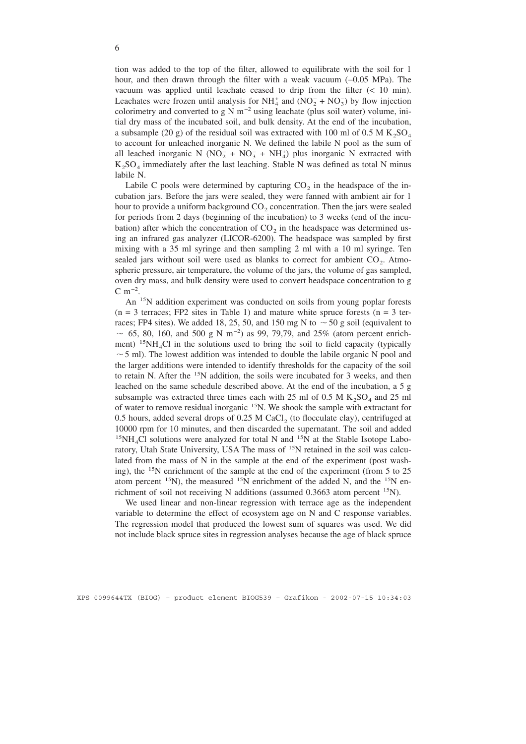tion was added to the top of the filter, allowed to equilibrate with the soil for 1 hour, and then drawn through the filter with a weak vacuum (−0.05 MPa). The vacuum was applied until leachate ceased to drip from the filter (< 10 min). Leachates were frozen until analysis for  $NH_4^+$  and  $(NO_2^- + NO_3^-)$  by flow injection colorimetry and converted to g N m<sup>-2</sup> using leachate (plus soil water) volume, initial dry mass of the incubated soil, and bulk density. At the end of the incubation, a subsample (20 g) of the residual soil was extracted with 100 ml of 0.5 M  $K_2SO_4$ to account for unleached inorganic N. We defined the labile N pool as the sum of all leached inorganic N ( $NO_2^- + NO_3^- + NH_4^+$ ) plus inorganic N extracted with  $K_2SO_4$  immediately after the last leaching. Stable N was defined as total N minus labile N.

Labile C pools were determined by capturing  $CO<sub>2</sub>$  in the headspace of the incubation jars. Before the jars were sealed, they were fanned with ambient air for 1 hour to provide a uniform background  $CO<sub>2</sub>$  concentration. Then the jars were sealed for periods from 2 days (beginning of the incubation) to 3 weeks (end of the incubation) after which the concentration of  $CO<sub>2</sub>$  in the headspace was determined using an infrared gas analyzer (LICOR-6200). The headspace was sampled by first mixing with a 35 ml syringe and then sampling 2 ml with a 10 ml syringe. Ten sealed jars without soil were used as blanks to correct for ambient  $CO<sub>2</sub>$ . Atmospheric pressure, air temperature, the volume of the jars, the volume of gas sampled, oven dry mass, and bulk density were used to convert headspace concentration to g  $C \; \text{m}^{-2}$ .

An <sup>15</sup>N addition experiment was conducted on soils from young poplar forests  $(n = 3$  terraces; FP2 sites in Table 1) and mature white spruce forests  $(n = 3$  terraces; FP4 sites). We added 18, 25, 50, and 150 mg N to  $\sim$  50 g soil (equivalent to ~ 65, 80, 160, and 500 g N m<sup>-2</sup>) as 99, 79,79, and 25% (atom percent enrichment)  $15NH<sub>4</sub>Cl$  in the solutions used to bring the soil to field capacity (typically  $\sim$  5 ml). The lowest addition was intended to double the labile organic N pool and the larger additions were intended to identify thresholds for the capacity of the soil to retain N. After the 15N addition, the soils were incubated for 3 weeks, and then leached on the same schedule described above. At the end of the incubation, a  $5g$ subsample was extracted three times each with 25 ml of 0.5 M  $K_2SO_4$  and 25 ml of water to remove residual inorganic 15N. We shook the sample with extractant for 0.5 hours, added several drops of 0.25 M CaCl<sub>2</sub> (to flocculate clay), centrifuged at 10000 rpm for 10 minutes, and then discarded the supernatant. The soil and added  $15NH<sub>4</sub>Cl$  solutions were analyzed for total N and  $15N$  at the Stable Isotope Laboratory, Utah State University, USA The mass of <sup>15</sup>N retained in the soil was calculated from the mass of N in the sample at the end of the experiment (post washing), the <sup>15</sup>N enrichment of the sample at the end of the experiment (from 5 to 25 atom percent  $^{15}N$ ), the measured  $^{15}N$  enrichment of the added N, and the  $^{15}N$  enrichment of soil not receiving N additions (assumed 0.3663 atom percent <sup>15</sup>N).

We used linear and non-linear regression with terrace age as the independent variable to determine the effect of ecosystem age on N and C response variables. The regression model that produced the lowest sum of squares was used. We did not include black spruce sites in regression analyses because the age of black spruce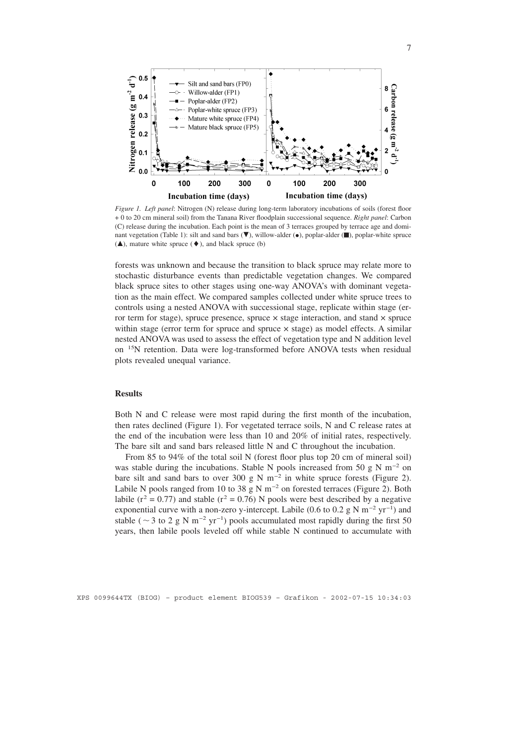

*Figure 1. Left panel*: Nitrogen (N) release during long-term laboratory incubations of soils (forest floor + 0 to 20 cm mineral soil) from the Tanana River floodplain successional sequence. *Right panel*: Carbon (C) release during the incubation. Each point is the mean of 3 terraces grouped by terrace age and dominant vegetation (Table 1): silt and sand bars  $(\blacktriangledown)$ , willow-alder  $(\bullet)$ , poplar-alder  $(\blacksquare)$ , poplar-white spruce  $({\blacktriangle})$ , mature white spruce  $({\blacklozenge})$ , and black spruce (b)

forests was unknown and because the transition to black spruce may relate more to stochastic disturbance events than predictable vegetation changes. We compared black spruce sites to other stages using one-way ANOVA's with dominant vegetation as the main effect. We compared samples collected under white spruce trees to controls using a nested ANOVA with successional stage, replicate within stage (error term for stage), spruce presence, spruce  $\times$  stage interaction, and stand  $\times$  spruce within stage (error term for spruce and spruce  $\times$  stage) as model effects. A similar nested ANOVA was used to assess the effect of vegetation type and N addition level on 15N retention. Data were log-transformed before ANOVA tests when residual plots revealed unequal variance.

# **Results**

Both N and C release were most rapid during the first month of the incubation, then rates declined (Figure 1). For vegetated terrace soils, N and C release rates at the end of the incubation were less than 10 and 20% of initial rates, respectively. The bare silt and sand bars released little N and C throughout the incubation.

From 85 to 94% of the total soil N (forest floor plus top 20 cm of mineral soil) was stable during the incubations. Stable N pools increased from 50 g N m<sup>-2</sup> on bare silt and sand bars to over 300 g N m<sup>-2</sup> in white spruce forests (Figure 2). Labile N pools ranged from 10 to 38 g N m<sup>-2</sup> on forested terraces (Figure 2). Both labile ( $r^2 = 0.77$ ) and stable ( $r^2 = 0.76$ ) N pools were best described by a negative exponential curve with a non-zero y-intercept. Labile (0.6 to 0.2  $\text{g N m}^{-2} \text{ yr}^{-1}$ ) and stable (  $\sim$  3 to 2 g N m<sup>-2</sup> yr<sup>-1</sup>) pools accumulated most rapidly during the first 50 years, then labile pools leveled off while stable N continued to accumulate with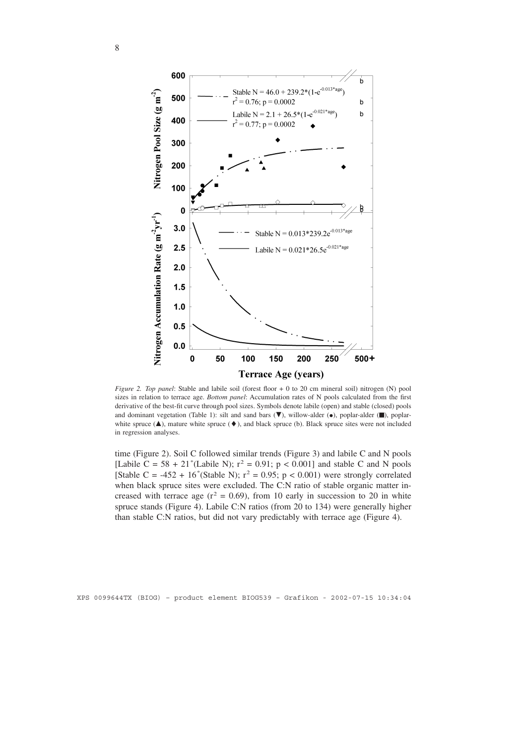

*Figure 2. Top panel*: Stable and labile soil (forest floor + 0 to 20 cm mineral soil) nitrogen (N) pool sizes in relation to terrace age. *Bottom panel*: Accumulation rates of N pools calculated from the first derivative of the best-fit curve through pool sizes. Symbols denote labile (open) and stable (closed) pools and dominant vegetation (Table 1): silt and sand bars  $(\overline{\bullet})$ , willow-alder  $(\bullet)$ , poplar-alder  $(\blacksquare)$ , poplarwhite spruce  $(\blacktriangle)$ , mature white spruce  $(\blacklozenge)$ , and black spruce (b). Black spruce sites were not included in regression analyses.

time (Figure 2). Soil C followed similar trends (Figure 3) and labile C and N pools [Labile C =  $58 + 21$ <sup>\*</sup>(Labile N);  $r^2 = 0.91$ ;  $p < 0.001$ ] and stable C and N pools [Stable C = -452 + 16<sup>\*</sup>(Stable N);  $r^2 = 0.95$ ; p < 0.001) were strongly correlated when black spruce sites were excluded. The C:N ratio of stable organic matter increased with terrace age  $(r^2 = 0.69)$ , from 10 early in succession to 20 in white spruce stands (Figure 4). Labile C:N ratios (from 20 to 134) were generally higher than stable C:N ratios, but did not vary predictably with terrace age (Figure 4).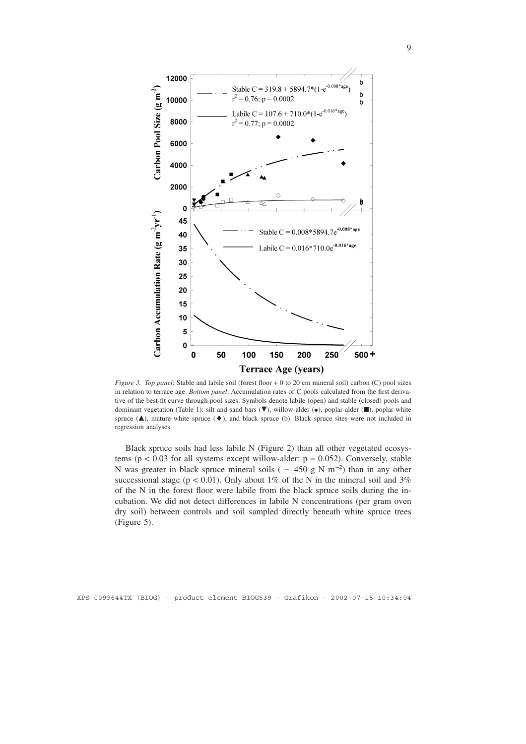

*Figure 3. Top panel*: Stable and labile soil (forest floor + 0 to 20 cm mineral soil) carbon (C) pool sizes in relation to terrace age. *Bottom panel*: Accumulation rates of C pools calculated from the first derivative of the best-fit curve through pool sizes. Symbols denote labile (open) and stable (closed) pools and dominant vegetation (Table 1): silt and sand bars  $(\blacktriangledown)$ , willow-alder  $(\bullet)$ , poplar-alder  $(\blacksquare)$ , poplar-white spruce  $(\triangle)$ , mature white spruce  $(\diamond)$ , and black spruce (b). Black spruce sites were not included in regression analyses.

Black spruce soils had less labile N (Figure 2) than all other vegetated ecosystems ( $p < 0.03$  for all systems except willow-alder:  $p = 0.052$ ). Conversely, stable N was greater in black spruce mineral soils ( $\sim$  450 g N m<sup>-2</sup>) than in any other successional stage ( $p < 0.01$ ). Only about 1% of the N in the mineral soil and 3% of the N in the forest floor were labile from the black spruce soils during the incubation. We did not detect differences in labile N concentrations (per gram oven dry soil) between controls and soil sampled directly beneath white spruce trees (Figure 5).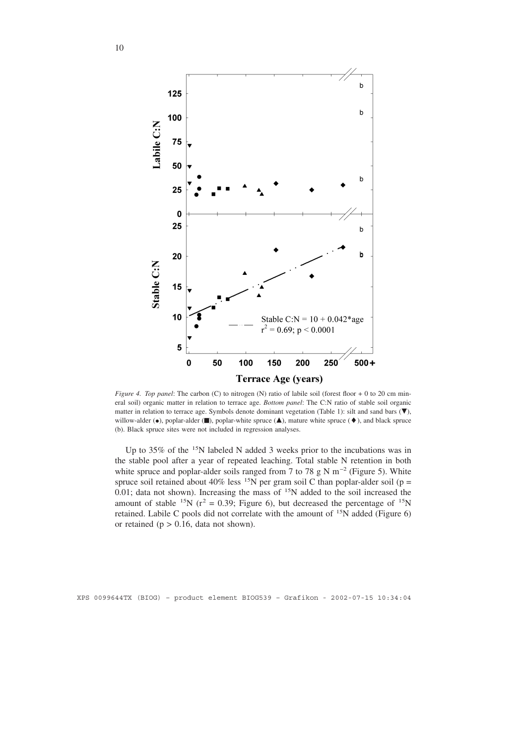

*Figure 4. Top panel:* The carbon (C) to nitrogen (N) ratio of labile soil (forest floor + 0 to 20 cm mineral soil) organic matter in relation to terrace age. *Bottom panel*: The C:N ratio of stable soil organic matter in relation to terrace age. Symbols denote dominant vegetation (Table 1): silt and sand bars  $(\blacktriangledown)$ , willow-alder  $(\bullet)$ , poplar-alder  $(\blacksquare)$ , poplar-white spruce  $(\blacktriangle)$ , mature white spruce  $(\blacklozenge)$ , and black spruce (b). Black spruce sites were not included in regression analyses.

Up to 35% of the <sup>15</sup>N labeled N added 3 weeks prior to the incubations was in the stable pool after a year of repeated leaching. Total stable N retention in both white spruce and poplar-alder soils ranged from 7 to 78 g N m<sup>-2</sup> (Figure 5). White spruce soil retained about 40% less <sup>15</sup>N per gram soil C than poplar-alder soil (p =  $0.01$ ; data not shown). Increasing the mass of  $15N$  added to the soil increased the amount of stable <sup>15</sup>N ( $r^2$  = 0.39; Figure 6), but decreased the percentage of <sup>15</sup>N retained. Labile C pools did not correlate with the amount of 15N added (Figure 6) or retained ( $p > 0.16$ , data not shown).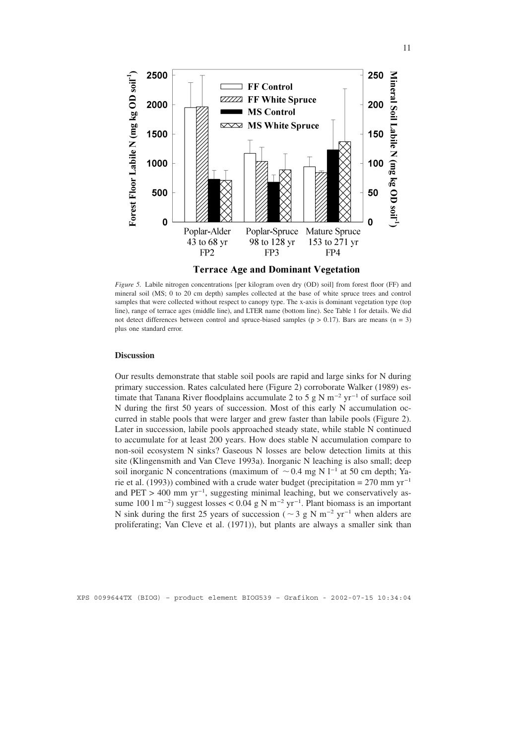

**Terrace Age and Dominant Vegetation** 

*Figure 5.* Labile nitrogen concentrations [per kilogram oven dry (OD) soil] from forest floor (FF) and mineral soil (MS; 0 to 20 cm depth) samples collected at the base of white spruce trees and control samples that were collected without respect to canopy type. The x-axis is dominant vegetation type (top line), range of terrace ages (middle line), and LTER name (bottom line). See Table 1 for details. We did not detect differences between control and spruce-biased samples ( $p > 0.17$ ). Bars are means ( $n = 3$ ) plus one standard error.

## **Discussion**

Our results demonstrate that stable soil pools are rapid and large sinks for N during primary succession. Rates calculated here (Figure 2) corroborate Walker (1989) estimate that Tanana River floodplains accumulate 2 to 5 g N m<sup>-2</sup> yr<sup>-1</sup> of surface soil N during the first 50 years of succession. Most of this early N accumulation occurred in stable pools that were larger and grew faster than labile pools (Figure 2). Later in succession, labile pools approached steady state, while stable N continued to accumulate for at least 200 years. How does stable N accumulation compare to non-soil ecosystem N sinks? Gaseous N losses are below detection limits at this site (Klingensmith and Van Cleve 1993a). Inorganic N leaching is also small; deep soil inorganic N concentrations (maximum of  $\sim$  0.4 mg N l<sup>-1</sup> at 50 cm depth; Yarie et al. (1993)) combined with a crude water budget (precipitation = 270 mm yr<sup>-1</sup> and PET > 400 mm yr<sup>-1</sup>, suggesting minimal leaching, but we conservatively assume 100 l m<sup>-2</sup>) suggest losses < 0.04 g N m<sup>-2</sup> yr<sup>-1</sup>. Plant biomass is an important N sink during the first 25 years of succession ( $\sim$  3 g N m<sup>-2</sup> yr<sup>-1</sup> when alders are proliferating; Van Cleve et al. (1971)), but plants are always a smaller sink than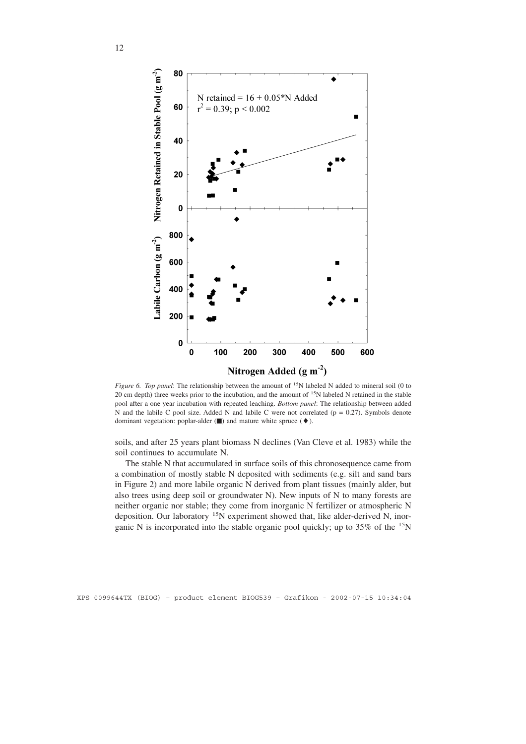

*Figure 6. Top panel:* The relationship between the amount of <sup>15</sup>N labeled N added to mineral soil (0 to 20 cm depth) three weeks prior to the incubation, and the amount of <sup>15</sup>N labeled N retained in the stable pool after a one year incubation with repeated leaching. *Bottom panel*: The relationship between added N and the labile C pool size. Added N and labile C were not correlated ( $p = 0.27$ ). Symbols denote dominant vegetation: poplar-alder (■) and mature white spruce ( $\blacklozenge$ ).

soils, and after 25 years plant biomass N declines (Van Cleve et al. 1983) while the soil continues to accumulate N.

The stable N that accumulated in surface soils of this chronosequence came from a combination of mostly stable N deposited with sediments (e.g. silt and sand bars in Figure 2) and more labile organic N derived from plant tissues (mainly alder, but also trees using deep soil or groundwater N). New inputs of N to many forests are neither organic nor stable; they come from inorganic N fertilizer or atmospheric N deposition. Our laboratory <sup>15</sup>N experiment showed that, like alder-derived N, inorganic N is incorporated into the stable organic pool quickly; up to 35% of the 15N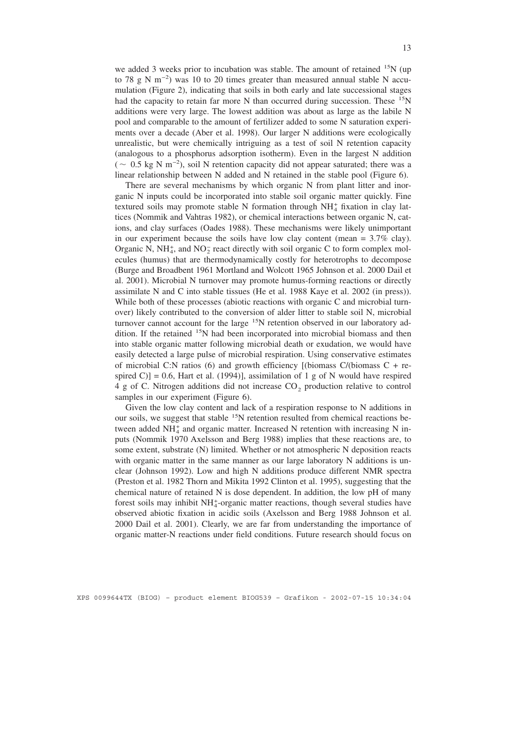we added 3 weeks prior to incubation was stable. The amount of retained  $^{15}N$  (up to 78 g N m−2 ) was 10 to 20 times greater than measured annual stable N accumulation (Figure 2), indicating that soils in both early and late successional stages had the capacity to retain far more N than occurred during succession. These  $15N$ additions were very large. The lowest addition was about as large as the labile N pool and comparable to the amount of fertilizer added to some N saturation experiments over a decade (Aber et al. 1998). Our larger N additions were ecologically unrealistic, but were chemically intriguing as a test of soil N retention capacity (analogous to a phosphorus adsorption isotherm). Even in the largest N addition  $($   $\sim$  0.5 kg N m<sup>-2</sup>), soil N retention capacity did not appear saturated; there was a linear relationship between N added and N retained in the stable pool (Figure 6).

There are several mechanisms by which organic N from plant litter and inorganic N inputs could be incorporated into stable soil organic matter quickly. Fine textured soils may promote stable N formation through  $NH<sub>4</sub><sup>+</sup>$  fixation in clay lattices (Nommik and Vahtras 1982), or chemical interactions between organic N, cations, and clay surfaces (Oades 1988). These mechanisms were likely unimportant in our experiment because the soils have low clay content (mean  $= 3.7\%$  clay). Organic N,  $NH_4^+$ , and  $NO_2^-$  react directly with soil organic C to form complex molecules (humus) that are thermodynamically costly for heterotrophs to decompose (Burge and Broadbent 1961 Mortland and Wolcott 1965 Johnson et al. 2000 Dail et al. 2001). Microbial N turnover may promote humus-forming reactions or directly assimilate N and C into stable tissues (He et al. 1988 Kaye et al. 2002 (in press)). While both of these processes (abiotic reactions with organic C and microbial turnover) likely contributed to the conversion of alder litter to stable soil N, microbial turnover cannot account for the large <sup>15</sup>N retention observed in our laboratory addition. If the retained <sup>15</sup>N had been incorporated into microbial biomass and then into stable organic matter following microbial death or exudation, we would have easily detected a large pulse of microbial respiration. Using conservative estimates of microbial C:N ratios (6) and growth efficiency [(biomass  $C/$ (biomass  $C + r$ espired C)] = 0.6, Hart et al. (1994)], assimilation of 1 g of N would have respired 4 g of C. Nitrogen additions did not increase  $CO<sub>2</sub>$  production relative to control samples in our experiment (Figure 6).

Given the low clay content and lack of a respiration response to N additions in our soils, we suggest that stable <sup>15</sup>N retention resulted from chemical reactions between added  $NH<sub>4</sub><sup>+</sup>$  and organic matter. Increased N retention with increasing N inputs (Nommik 1970 Axelsson and Berg 1988) implies that these reactions are, to some extent, substrate (N) limited. Whether or not atmospheric N deposition reacts with organic matter in the same manner as our large laboratory N additions is unclear (Johnson 1992). Low and high N additions produce different NMR spectra (Preston et al. 1982 Thorn and Mikita 1992 Clinton et al. 1995), suggesting that the chemical nature of retained N is dose dependent. In addition, the low pH of many forest soils may inhibit NH<sup>+</sup>-organic matter reactions, though several studies have observed abiotic fixation in acidic soils (Axelsson and Berg 1988 Johnson et al. 2000 Dail et al. 2001). Clearly, we are far from understanding the importance of organic matter-N reactions under field conditions. Future research should focus on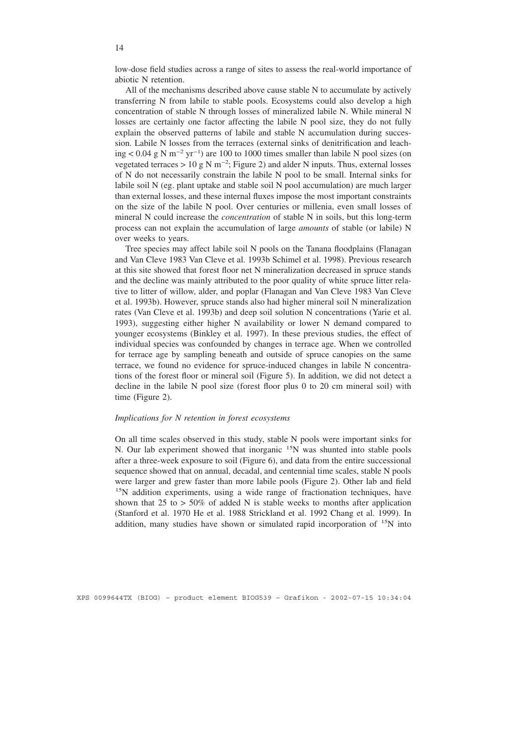low-dose field studies across a range of sites to assess the real-world importance of abiotic N retention.

All of the mechanisms described above cause stable N to accumulate by actively transferring N from labile to stable pools. Ecosystems could also develop a high concentration of stable N through losses of mineralized labile N. While mineral N losses are certainly one factor affecting the labile N pool size, they do not fully explain the observed patterns of labile and stable N accumulation during succession. Labile N losses from the terraces (external sinks of denitrification and leaching < 0.04 g N m−2 yr−1 ) are 100 to 1000 times smaller than labile N pool sizes (on vegetated terraces > 10 g N m<sup>-2</sup>; Figure 2) and alder N inputs. Thus, external losses of N do not necessarily constrain the labile N pool to be small. Internal sinks for labile soil N (eg. plant uptake and stable soil N pool accumulation) are much larger than external losses, and these internal fluxes impose the most important constraints on the size of the labile N pool. Over centuries or millenia, even small losses of mineral N could increase the *concentration* of stable N in soils, but this long-term process can not explain the accumulation of large *amounts* of stable (or labile) N over weeks to years.

Tree species may affect labile soil N pools on the Tanana floodplains (Flanagan and Van Cleve 1983 Van Cleve et al. 1993b Schimel et al. 1998). Previous research at this site showed that forest floor net N mineralization decreased in spruce stands and the decline was mainly attributed to the poor quality of white spruce litter relative to litter of willow, alder, and poplar (Flanagan and Van Cleve 1983 Van Cleve et al. 1993b). However, spruce stands also had higher mineral soil N mineralization rates (Van Cleve et al. 1993b) and deep soil solution N concentrations (Yarie et al. 1993), suggesting either higher N availability or lower N demand compared to younger ecosystems (Binkley et al. 1997). In these previous studies, the effect of individual species was confounded by changes in terrace age. When we controlled for terrace age by sampling beneath and outside of spruce canopies on the same terrace, we found no evidence for spruce-induced changes in labile N concentrations of the forest floor or mineral soil (Figure 5). In addition, we did not detect a decline in the labile N pool size (forest floor plus 0 to 20 cm mineral soil) with time (Figure 2).

#### *Implications for N retention in forest ecosystems*

On all time scales observed in this study, stable N pools were important sinks for N. Our lab experiment showed that inorganic <sup>15</sup>N was shunted into stable pools after a three-week exposure to soil (Figure 6), and data from the entire successional sequence showed that on annual, decadal, and centennial time scales, stable N pools were larger and grew faster than more labile pools (Figure 2). Other lab and field <sup>15</sup>N addition experiments, using a wide range of fractionation techniques, have shown that 25 to  $>$  50% of added N is stable weeks to months after application (Stanford et al. 1970 He et al. 1988 Strickland et al. 1992 Chang et al. 1999). In addition, many studies have shown or simulated rapid incorporation of 15N into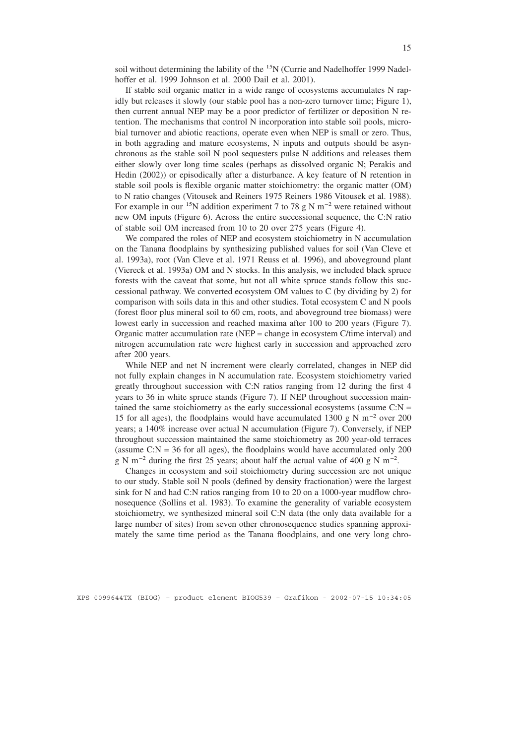soil without determining the lability of the <sup>15</sup>N (Currie and Nadelhoffer 1999 Nadelhoffer et al. 1999 Johnson et al. 2000 Dail et al. 2001).

If stable soil organic matter in a wide range of ecosystems accumulates N rapidly but releases it slowly (our stable pool has a non-zero turnover time; Figure 1), then current annual NEP may be a poor predictor of fertilizer or deposition N retention. The mechanisms that control N incorporation into stable soil pools, microbial turnover and abiotic reactions, operate even when NEP is small or zero. Thus, in both aggrading and mature ecosystems, N inputs and outputs should be asynchronous as the stable soil N pool sequesters pulse N additions and releases them either slowly over long time scales (perhaps as dissolved organic N; Perakis and Hedin (2002)) or episodically after a disturbance. A key feature of N retention in stable soil pools is flexible organic matter stoichiometry: the organic matter (OM) to N ratio changes (Vitousek and Reiners 1975 Reiners 1986 Vitousek et al. 1988). For example in our <sup>15</sup>N addition experiment 7 to 78 g N m<sup>-2</sup> were retained without new OM inputs (Figure 6). Across the entire successional sequence, the C:N ratio of stable soil OM increased from 10 to 20 over 275 years (Figure 4).

We compared the roles of NEP and ecosystem stoichiometry in N accumulation on the Tanana floodplains by synthesizing published values for soil (Van Cleve et al. 1993a), root (Van Cleve et al. 1971 Reuss et al. 1996), and aboveground plant (Viereck et al. 1993a) OM and N stocks. In this analysis, we included black spruce forests with the caveat that some, but not all white spruce stands follow this successional pathway. We converted ecosystem OM values to C (by dividing by 2) for comparison with soils data in this and other studies. Total ecosystem C and N pools (forest floor plus mineral soil to 60 cm, roots, and aboveground tree biomass) were lowest early in succession and reached maxima after 100 to 200 years (Figure 7). Organic matter accumulation rate (NEP = change in ecosystem C/time interval) and nitrogen accumulation rate were highest early in succession and approached zero after 200 years.

While NEP and net N increment were clearly correlated, changes in NEP did not fully explain changes in N accumulation rate. Ecosystem stoichiometry varied greatly throughout succession with C:N ratios ranging from 12 during the first 4 years to 36 in white spruce stands (Figure 7). If NEP throughout succession maintained the same stoichiometry as the early successional ecosystems (assume  $C:N =$ 15 for all ages), the floodplains would have accumulated 1300 g N m<sup>-2</sup> over 200 years; a 140% increase over actual N accumulation (Figure 7). Conversely, if NEP throughout succession maintained the same stoichiometry as 200 year-old terraces (assume  $C: N = 36$  for all ages), the floodplains would have accumulated only 200 g N m<sup>-2</sup> during the first 25 years; about half the actual value of 400 g N m<sup>-2</sup>.

Changes in ecosystem and soil stoichiometry during succession are not unique to our study. Stable soil N pools (defined by density fractionation) were the largest sink for N and had C:N ratios ranging from 10 to 20 on a 1000-year mudflow chronosequence (Sollins et al. 1983). To examine the generality of variable ecosystem stoichiometry, we synthesized mineral soil C:N data (the only data available for a large number of sites) from seven other chronosequence studies spanning approximately the same time period as the Tanana floodplains, and one very long chro-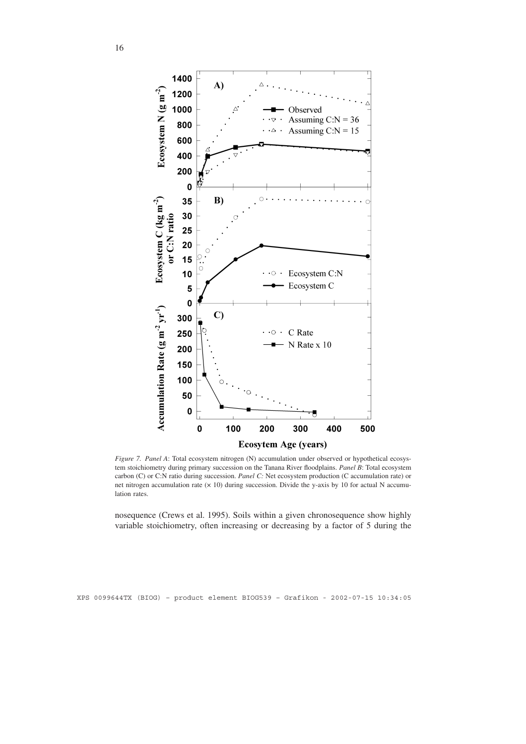

*Figure 7. Panel A*: Total ecosystem nitrogen (N) accumulation under observed or hypothetical ecosystem stoichiometry during primary succession on the Tanana River floodplains. *Panel B*: Total ecosystem carbon (C) or C:N ratio during succession. *Panel C:* Net ecosystem production (C accumulation rate) or net nitrogen accumulation rate (× 10) during succession. Divide the y-axis by 10 for actual N accumulation rates.

nosequence (Crews et al. 1995). Soils within a given chronosequence show highly variable stoichiometry, often increasing or decreasing by a factor of 5 during the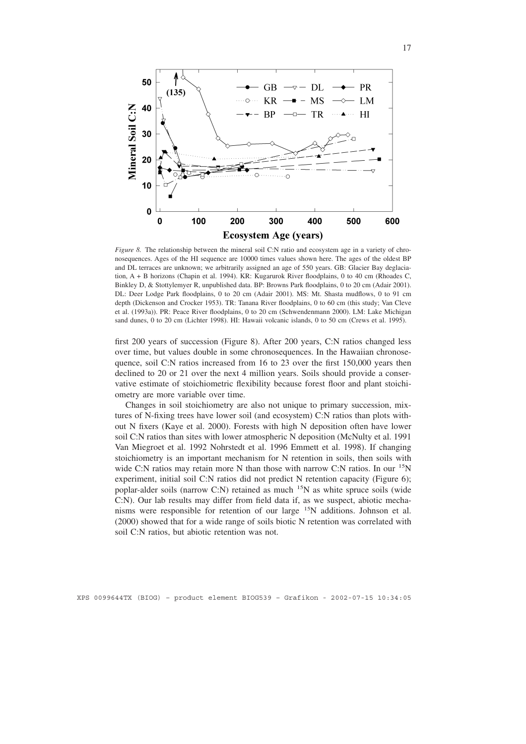

*Figure 8.* The relationship between the mineral soil C:N ratio and ecosystem age in a variety of chronosequences. Ages of the HI sequence are 10000 times values shown here. The ages of the oldest BP and DL terraces are unknown; we arbitrarily assigned an age of 550 years. GB: Glacier Bay deglaciation, A + B horizons (Chapin et al. 1994). KR: Kugarurok River floodplains, 0 to 40 cm (Rhoades C, Binkley D, & Stottylemyer R, unpublished data. BP: Browns Park floodplains, 0 to 20 cm (Adair 2001). DL: Deer Lodge Park floodplains, 0 to 20 cm (Adair 2001). MS: Mt. Shasta mudflows, 0 to 91 cm depth (Dickenson and Crocker 1953). TR: Tanana River floodplains, 0 to 60 cm (this study; Van Cleve et al. (1993a)). PR: Peace River floodplains, 0 to 20 cm (Schwendenmann 2000). LM: Lake Michigan sand dunes, 0 to 20 cm (Lichter 1998). HI: Hawaii volcanic islands, 0 to 50 cm (Crews et al. 1995).

first 200 years of succession (Figure 8). After 200 years, C:N ratios changed less over time, but values double in some chronosequences. In the Hawaiian chronosequence, soil C:N ratios increased from 16 to 23 over the first 150,000 years then declined to 20 or 21 over the next 4 million years. Soils should provide a conservative estimate of stoichiometric flexibility because forest floor and plant stoichiometry are more variable over time.

Changes in soil stoichiometry are also not unique to primary succession, mixtures of N-fixing trees have lower soil (and ecosystem) C:N ratios than plots without N fixers (Kaye et al. 2000). Forests with high N deposition often have lower soil C:N ratios than sites with lower atmospheric N deposition (McNulty et al. 1991 Van Miegroet et al. 1992 Nohrstedt et al. 1996 Emmett et al. 1998). If changing stoichiometry is an important mechanism for N retention in soils, then soils with wide C:N ratios may retain more N than those with narrow C:N ratios. In our <sup>15</sup>N experiment, initial soil C:N ratios did not predict N retention capacity (Figure 6); poplar-alder soils (narrow C:N) retained as much  $15N$  as white spruce soils (wide C:N). Our lab results may differ from field data if, as we suspect, abiotic mechanisms were responsible for retention of our large 15N additions. Johnson et al. (2000) showed that for a wide range of soils biotic N retention was correlated with soil C:N ratios, but abiotic retention was not.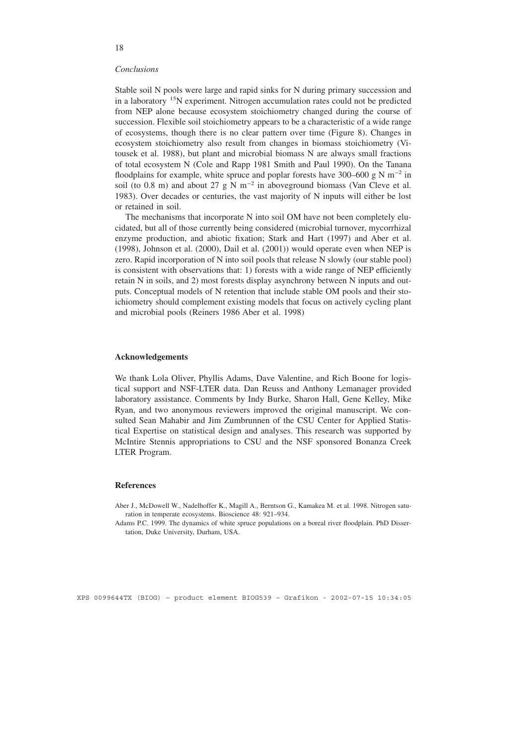#### *Conclusions*

Stable soil N pools were large and rapid sinks for N during primary succession and in a laboratory 15N experiment. Nitrogen accumulation rates could not be predicted from NEP alone because ecosystem stoichiometry changed during the course of succession. Flexible soil stoichiometry appears to be a characteristic of a wide range of ecosystems, though there is no clear pattern over time (Figure 8). Changes in ecosystem stoichiometry also result from changes in biomass stoichiometry (Vitousek et al. 1988), but plant and microbial biomass N are always small fractions of total ecosystem N (Cole and Rapp 1981 Smith and Paul 1990). On the Tanana floodplains for example, white spruce and poplar forests have 300–600 g N m<sup>-2</sup> in soil (to 0.8 m) and about 27 g N m<sup>-2</sup> in aboveground biomass (Van Cleve et al. 1983). Over decades or centuries, the vast majority of N inputs will either be lost or retained in soil.

The mechanisms that incorporate N into soil OM have not been completely elucidated, but all of those currently being considered (microbial turnover, mycorrhizal enzyme production, and abiotic fixation; Stark and Hart (1997) and Aber et al. (1998), Johnson et al. (2000), Dail et al. (2001)) would operate even when NEP is zero. Rapid incorporation of N into soil pools that release N slowly (our stable pool) is consistent with observations that: 1) forests with a wide range of NEP efficiently retain N in soils, and 2) most forests display asynchrony between N inputs and outputs. Conceptual models of N retention that include stable OM pools and their stoichiometry should complement existing models that focus on actively cycling plant and microbial pools (Reiners 1986 Aber et al. 1998)

## **Acknowledgements**

We thank Lola Oliver, Phyllis Adams, Dave Valentine, and Rich Boone for logistical support and NSF-LTER data. Dan Reuss and Anthony Lemanager provided laboratory assistance. Comments by Indy Burke, Sharon Hall, Gene Kelley, Mike Ryan, and two anonymous reviewers improved the original manuscript. We consulted Sean Mahabir and Jim Zumbrunnen of the CSU Center for Applied Statistical Expertise on statistical design and analyses. This research was supported by McIntire Stennis appropriations to CSU and the NSF sponsored Bonanza Creek LTER Program.

#### **References**

Aber J., McDowell W., Nadelhoffer K., Magill A., Berntson G., Kamakea M. et al. 1998. Nitrogen saturation in temperate ecosystems. Bioscience 48: 921–934.

Adams P.C. 1999. The dynamics of white spruce populations on a boreal river floodplain. PhD Dissertation, Duke University, Durham, USA.

XPS 0099644TX (BIOG) – product element BIOG539 – Grafikon - 2002-07-15 10:34:05

## 18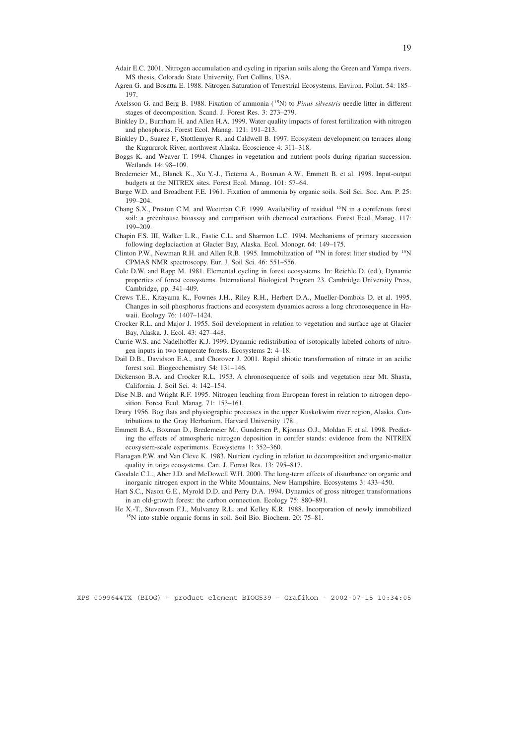- Adair E.C. 2001. Nitrogen accumulation and cycling in riparian soils along the Green and Yampa rivers. MS thesis, Colorado State University, Fort Collins, USA.
- Agren G. and Bosatta E. 1988. Nitrogen Saturation of Terrestrial Ecosystems. Environ. Pollut. 54: 185– 197.
- Axelsson G. and Berg B. 1988. Fixation of ammonia (15N) to *Pinus silvestris* needle litter in different stages of decomposition. Scand. J. Forest Res. 3: 273–279.
- Binkley D., Burnham H. and Allen H.A. 1999. Water quality impacts of forest fertilization with nitrogen and phosphorus. Forest Ecol. Manag. 121: 191–213.
- Binkley D., Suarez F., Stottlemyer R. and Caldwell B. 1997. Ecosystem development on terraces along the Kugururok River, northwest Alaska. Écoscience 4: 311–318.
- Boggs K. and Weaver T. 1994. Changes in vegetation and nutrient pools during riparian succession. Wetlands 14: 98–109.
- Bredemeier M., Blanck K., Xu Y.-J., Tietema A., Boxman A.W., Emmett B. et al. 1998. Input-output budgets at the NITREX sites. Forest Ecol. Manag. 101: 57–64.
- Burge W.D. and Broadbent F.E. 1961. Fixation of ammonia by organic soils. Soil Sci. Soc. Am. P. 25: 199–204.
- Chang S.X., Preston C.M. and Weetman C.F. 1999. Availability of residual <sup>15</sup>N in a coniferous forest soil: a greenhouse bioassay and comparison with chemical extractions. Forest Ecol. Manag. 117: 199–209.
- Chapin F.S. III, Walker L.R., Fastie C.L. and Sharmon L.C. 1994. Mechanisms of primary succession following deglaciaction at Glacier Bay, Alaska. Ecol. Monogr. 64: 149–175.
- Clinton P.W., Newman R.H. and Allen R.B. 1995. Immobilization of <sup>15</sup>N in forest litter studied by <sup>15</sup>N CPMAS NMR spectroscopy. Eur. J. Soil Sci. 46: 551–556.
- Cole D.W. and Rapp M. 1981. Elemental cycling in forest ecosystems. In: Reichle D. (ed.), Dynamic properties of forest ecosystems. International Biological Program 23. Cambridge University Press, Cambridge, pp. 341–409.
- Crews T.E., Kitayama K., Fownes J.H., Riley R.H., Herbert D.A., Mueller-Dombois D. et al. 1995. Changes in soil phosphorus fractions and ecosystem dynamics across a long chronosequence in Hawaii. Ecology 76: 1407–1424.
- Crocker R.L. and Major J. 1955. Soil development in relation to vegetation and surface age at Glacier Bay, Alaska. J. Ecol. 43: 427–448.
- Currie W.S. and Nadelhoffer K.J. 1999. Dynamic redistribution of isotopically labeled cohorts of nitrogen inputs in two temperate forests. Ecosystems 2: 4–18.
- Dail D.B., Davidson E.A., and Chorover J. 2001. Rapid abiotic transformation of nitrate in an acidic forest soil. Biogeochemistry 54: 131–146.
- Dickenson B.A. and Crocker R.L. 1953. A chronosequence of soils and vegetation near Mt. Shasta, California. J. Soil Sci. 4: 142–154.
- Dise N.B. and Wright R.F. 1995. Nitrogen leaching from European forest in relation to nitrogen deposition. Forest Ecol. Manag. 71: 153–161.
- Drury 1956. Bog flats and physiographic processes in the upper Kuskokwim river region, Alaska. Contributions to the Gray Herbarium. Harvard University 178.
- Emmett B.A., Boxman D., Bredemeier M., Gundersen P., Kjonaas O.J., Moldan F. et al. 1998. Predicting the effects of atmospheric nitrogen deposition in conifer stands: evidence from the NITREX ecosystem-scale experiments. Ecosystems 1: 352–360.
- Flanagan P.W. and Van Cleve K. 1983. Nutrient cycling in relation to decomposition and organic-matter quality in taiga ecosystems. Can. J. Forest Res. 13: 795–817.
- Goodale C.L., Aber J.D. and McDowell W.H. 2000. The long-term effects of disturbance on organic and inorganic nitrogen export in the White Mountains, New Hampshire. Ecosystems 3: 433–450.
- Hart S.C., Nason G.E., Myrold D.D. and Perry D.A. 1994. Dynamics of gross nitrogen transformations in an old-growth forest: the carbon connection. Ecology 75: 880–891.
- He X.-T., Stevenson F.J., Mulvaney R.L. and Kelley K.R. 1988. Incorporation of newly immobilized 15N into stable organic forms in soil. Soil Bio. Biochem. 20: 75–81.

19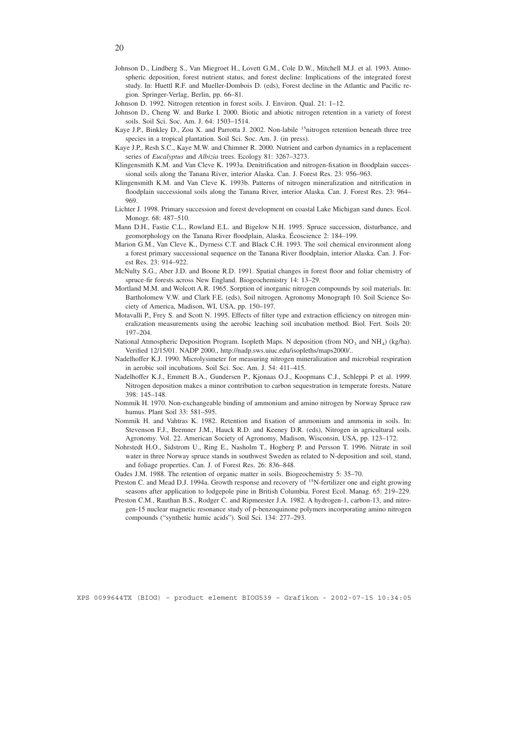- Johnson D., Lindberg S., Van Miegroet H., Lovett G.M., Cole D.W., Mitchell M.J. et al. 1993. Atmospheric deposition, forest nutrient status, and forest decline: Implications of the integrated forest study. In: Huettl R.F. and Mueller-Dombois D. (eds), Forest decline in the Atlantic and Pacific region. Springer-Verlag, Berlin, pp. 66–81.
- Johnson D. 1992. Nitrogen retention in forest soils. J. Environ. Qual. 21: 1–12.
- Johnson D., Cheng W. and Burke I. 2000. Biotic and abiotic nitrogen retention in a variety of forest soils. Soil Sci. Soc. Am. J. 64: 1503–1514.
- Kaye J.P., Binkley D., Zou X. and Parrotta J. 2002. Non-labile <sup>15</sup>nitrogen retention beneath three tree species in a tropical plantation. Soil Sci. Soc. Am. J. (in press).
- Kaye J.P., Resh S.C., Kaye M.W. and Chimner R. 2000. Nutrient and carbon dynamics in a replacement series of *Eucalyptus* and *Albizia* trees. Ecology 81: 3267–3273.
- Klingensmith K.M. and Van Cleve K. 1993a. Denitrification and nitrogen-fixation in floodplain successional soils along the Tanana River, interior Alaska. Can. J. Forest Res. 23: 956–963.
- Klingensmith K.M. and Van Cleve K. 1993b. Patterns of nitrogen mineralization and nitrification in floodplain successional soils along the Tanana River, interior Alaska. Can. J. Forest Res. 23: 964– 969.
- Lichter J. 1998. Primary succession and forest development on coastal Lake Michigan sand dunes. Ecol. Monogr. 68: 487–510.
- Mann D.H., Fastie C.L., Rowland E.L. and Bigelow N.H. 1995. Spruce succession, disturbance, and geomorphology on the Tanana River floodplain, Alaska. Écoscience 2: 184–199.
- Marion G.M., Van Cleve K., Dyrness C.T. and Black C.H. 1993. The soil chemical environment along a forest primary successional sequence on the Tanana River floodplain, interior Alaska. Can. J. Forest Res. 23: 914–922.
- McNulty S.G., Aber J.D. and Boone R.D. 1991. Spatial changes in forest floor and foliar chemistry of spruce-fir forests across New England. Biogeochemistry 14: 13–29.
- Mortland M.M. and Wolcott A.R. 1965. Sorption of inorganic nitrogen compounds by soil materials. In: Bartholomew V.W. and Clark F.E. (eds), Soil nitrogen. Agronomy Monograph 10. Soil Science Society of America, Madison, WI, USA, pp. 150–197.
- Motavalli P., Frey S. and Scott N. 1995. Effects of filter type and extraction efficiency on nitrogen mineralization measurements using the aerobic leaching soil incubation method. Biol. Fert. Soils 20: 197–204.
- National Atmospheric Deposition Program. Isopleth Maps. N deposition (from  $NO_3$  and  $NH_4$ ) (kg/ha). Verified 12/15/01. NADP 2000., http://nadp.sws.uiuc.edu/isopleths/maps2000/..
- Nadelhoffer K.J. 1990. Microlysimeter for measuring nitrogen mineralization and microbial respiration in aerobic soil incubations. Soil Sci. Soc. Am. J. 54: 411–415.
- Nadelhoffer K.J., Emmett B.A., Gundersen P., Kjonaas O.J., Koopmans C.J., Schleppi P. et al. 1999. Nitrogen deposition makes a minor contribution to carbon sequestration in temperate forests. Nature 398: 145–148.
- Nommik H. 1970. Non-exchangeable binding of ammonium and amino nitrogen by Norway Spruce raw humus. Plant Soil 33: 581–595.
- Nommik H. and Vahtras K. 1982. Retention and fixation of ammonium and ammonia in soils. In: Stevenson F.J., Bremner J.M., Hauck R.D. and Keeney D.R. (eds), Nitrogen in agricultural soils. Agronomy. Vol. 22. American Society of Agronomy, Madison, Wisconsin, USA, pp. 123–172.
- Nohrstedt H.O., Sidstrom U., Ring E., Nasholm T., Hogberg P. and Persson T. 1996. Nitrate in soil water in three Norway spruce stands in southwest Sweden as related to N-deposition and soil, stand, and foliage properties. Can. J. of Forest Res. 26: 836–848.
- Oades J.M. 1988. The retention of organic matter in soils. Biogeochemistry 5: 35–70.
- Preston C. and Mead D.J. 1994a. Growth response and recovery of <sup>15</sup>N-fertilizer one and eight growing seasons after application to lodgepole pine in British Columbia. Forest Ecol. Manag. 65: 219–229.
- Preston C.M., Rauthan B.S., Rodger C. and Ripmeester J.A. 1982. A hydrogen-1, carbon-13, and nitrogen-15 nuclear magnetic resonance study of p-benzoquinone polymers incorporating amino nitrogen compounds ("synthetic humic acids"). Soil Sci. 134: 277–293.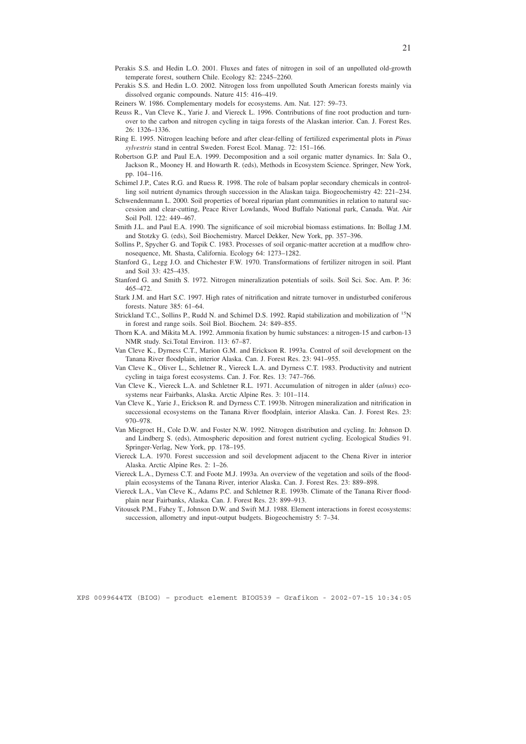- Perakis S.S. and Hedin L.O. 2001. Fluxes and fates of nitrogen in soil of an unpolluted old-growth temperate forest, southern Chile. Ecology 82: 2245–2260.
- Perakis S.S. and Hedin L.O. 2002. Nitrogen loss from unpolluted South American forests mainly via dissolved organic compounds. Nature 415: 416–419.
- Reiners W. 1986. Complementary models for ecosystems. Am. Nat. 127: 59–73.
- Reuss R., Van Cleve K., Yarie J. and Viereck L. 1996. Contributions of fine root production and turnover to the carbon and nitrogen cycling in taiga forests of the Alaskan interior. Can. J. Forest Res. 26: 1326–1336.
- Ring E. 1995. Nitrogen leaching before and after clear-felling of fertilized experimental plots in *Pinus sylvestris* stand in central Sweden. Forest Ecol. Manag. 72: 151–166.
- Robertson G.P. and Paul E.A. 1999. Decomposition and a soil organic matter dynamics. In: Sala O., Jackson R., Mooney H. and Howarth R. (eds), Methods in Ecosystem Science. Springer, New York, pp. 104–116.
- Schimel J.P., Cates R.G. and Ruess R. 1998. The role of balsam poplar secondary chemicals in controlling soil nutrient dynamics through succession in the Alaskan taiga. Biogeochemistry 42: 221–234.
- Schwendenmann L. 2000. Soil properties of boreal riparian plant communities in relation to natural succession and clear-cutting, Peace River Lowlands, Wood Buffalo National park, Canada. Wat. Air Soil Poll. 122: 449–467.
- Smith J.L. and Paul E.A. 1990. The significance of soil microbial biomass estimations. In: Bollag J.M. and Stotzky G. (eds), Soil Biochemistry. Marcel Dekker, New York, pp. 357–396.
- Sollins P., Spycher G. and Topik C. 1983. Processes of soil organic-matter accretion at a mudflow chronosequence, Mt. Shasta, California. Ecology 64: 1273–1282.
- Stanford G., Legg J.O. and Chichester F.W. 1970. Transformations of fertilizer nitrogen in soil. Plant and Soil 33: 425–435.
- Stanford G. and Smith S. 1972. Nitrogen mineralization potentials of soils. Soil Sci. Soc. Am. P. 36: 465–472.
- Stark J.M. and Hart S.C. 1997. High rates of nitrification and nitrate turnover in undisturbed coniferous forests. Nature 385: 61–64.
- Strickland T.C., Sollins P., Rudd N. and Schimel D.S. 1992. Rapid stabilization and mobilization of 15N in forest and range soils. Soil Biol. Biochem. 24: 849–855.
- Thorn K.A. and Mikita M.A. 1992. Ammonia fixation by humic substances: a nitrogen-15 and carbon-13 NMR study. Sci.Total Environ. 113: 67–87.
- Van Cleve K., Dyrness C.T., Marion G.M. and Erickson R. 1993a. Control of soil development on the Tanana River floodplain, interior Alaska. Can. J. Forest Res. 23: 941–955.
- Van Cleve K., Oliver L., Schletner R., Viereck L.A. and Dyrness C.T. 1983. Productivity and nutrient cycling in taiga forest ecosystems. Can. J. For. Res. 13: 747–766.
- Van Cleve K., Viereck L.A. and Schletner R.L. 1971. Accumulation of nitrogen in alder (*alnus*) ecosystems near Fairbanks, Alaska. Arctic Alpine Res. 3: 101–114.
- Van Cleve K., Yarie J., Erickson R. and Dyrness C.T. 1993b. Nitrogen mineralization and nitrification in successional ecosystems on the Tanana River floodplain, interior Alaska. Can. J. Forest Res. 23: 970–978.
- Van Miegroet H., Cole D.W. and Foster N.W. 1992. Nitrogen distribution and cycling. In: Johnson D. and Lindberg S. (eds), Atmospheric deposition and forest nutrient cycling. Ecological Studies 91. Springer-Verlag, New York, pp. 178–195.
- Viereck L.A. 1970. Forest succession and soil development adjacent to the Chena River in interior Alaska. Arctic Alpine Res. 2: 1–26.
- Viereck L.A., Dyrness C.T. and Foote M.J. 1993a. An overview of the vegetation and soils of the floodplain ecosystems of the Tanana River, interior Alaska. Can. J. Forest Res. 23: 889–898.
- Viereck L.A., Van Cleve K., Adams P.C. and Schletner R.E. 1993b. Climate of the Tanana River floodplain near Fairbanks, Alaska. Can. J. Forest Res. 23: 899–913.
- Vitousek P.M., Fahey T., Johnson D.W. and Swift M.J. 1988. Element interactions in forest ecosystems: succession, allometry and input-output budgets. Biogeochemistry 5: 7–34.